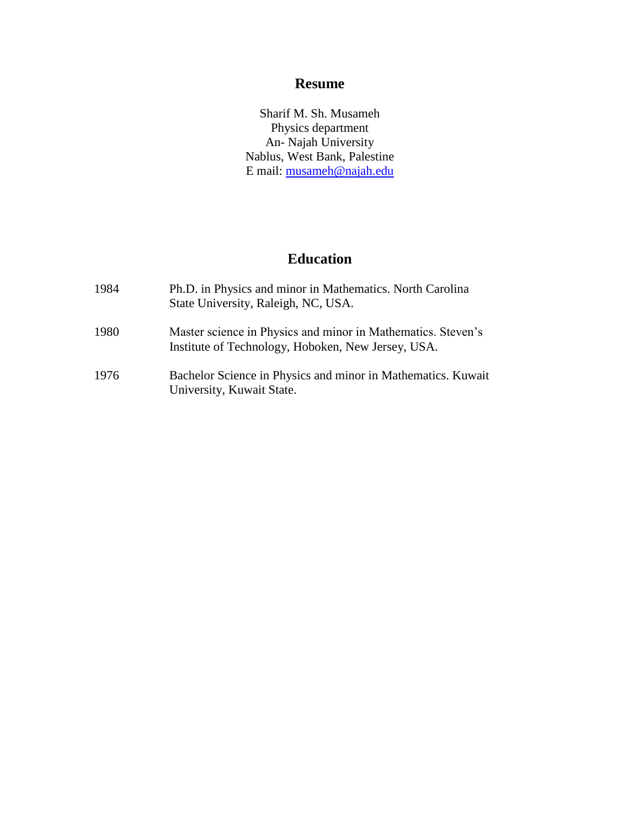## **Resume**

Sharif M. Sh. Musameh Physics department An- Najah University Nablus, West Bank, Palestine E mail: [musameh@najah.edu](mailto:musameh@najah.edu)

## **Education**

| 1984 | Ph.D. in Physics and minor in Mathematics. North Carolina<br>State University, Raleigh, NC, USA.                   |
|------|--------------------------------------------------------------------------------------------------------------------|
| 1980 | Master science in Physics and minor in Mathematics. Steven's<br>Institute of Technology, Hoboken, New Jersey, USA. |
| 1976 | Bachelor Science in Physics and minor in Mathematics. Kuwait<br>University, Kuwait State.                          |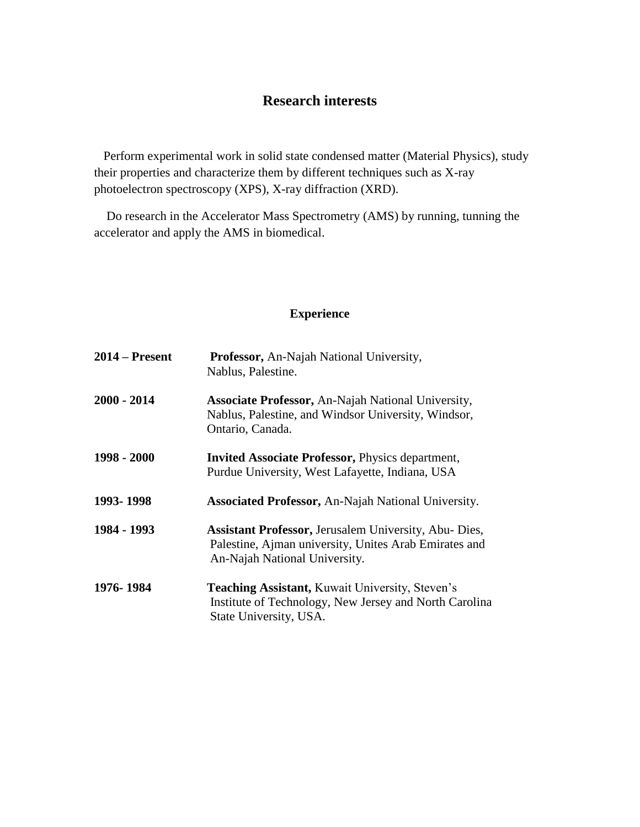# **Research interests**

 Perform experimental work in solid state condensed matter (Material Physics), study their properties and characterize them by different techniques such as X-ray photoelectron spectroscopy (XPS), X-ray diffraction (XRD).

 Do research in the Accelerator Mass Spectrometry (AMS) by running, tunning the accelerator and apply the AMS in biomedical.

#### **Experience**

| $2014$ – Present | Professor, An-Najah National University,<br>Nablus, Palestine.                                                                                         |
|------------------|--------------------------------------------------------------------------------------------------------------------------------------------------------|
| $2000 - 2014$    | <b>Associate Professor, An-Najah National University,</b><br>Nablus, Palestine, and Windsor University, Windsor,<br>Ontario, Canada.                   |
| 1998 - 2000      | <b>Invited Associate Professor, Physics department,</b><br>Purdue University, West Lafayette, Indiana, USA                                             |
| 1993-1998        | <b>Associated Professor, An-Najah National University.</b>                                                                                             |
| 1984 - 1993      | <b>Assistant Professor, Jerusalem University, Abu- Dies,</b><br>Palestine, Ajman university, Unites Arab Emirates and<br>An-Najah National University. |
| 1976-1984        | <b>Teaching Assistant, Kuwait University, Steven's</b><br>Institute of Technology, New Jersey and North Carolina<br>State University, USA.             |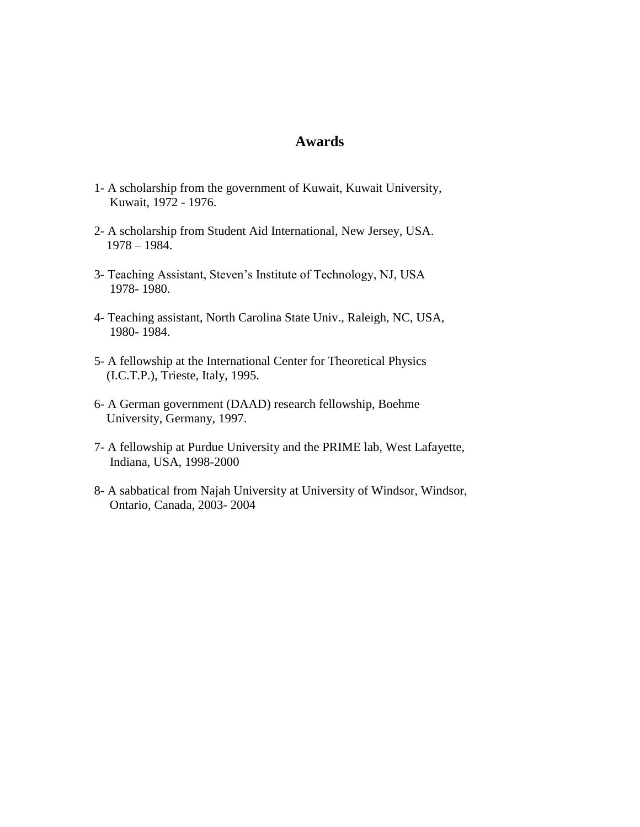#### **Awards**

- 1- A scholarship from the government of Kuwait, Kuwait University, Kuwait, 1972 - 1976.
- 2- A scholarship from Student Aid International, New Jersey, USA. 1978 – 1984.
- 3- Teaching Assistant, Steven's Institute of Technology, NJ, USA 1978- 1980.
- 4- Teaching assistant, North Carolina State Univ., Raleigh, NC, USA, 1980- 1984.
- 5- A fellowship at the International Center for Theoretical Physics (I.C.T.P.), Trieste, Italy, 1995.
- 6- A German government (DAAD) research fellowship, Boehme University, Germany, 1997.
- 7- A fellowship at Purdue University and the PRIME lab, West Lafayette, Indiana, USA, 1998-2000
- 8- A sabbatical from Najah University at University of Windsor, Windsor, Ontario, Canada, 2003- 2004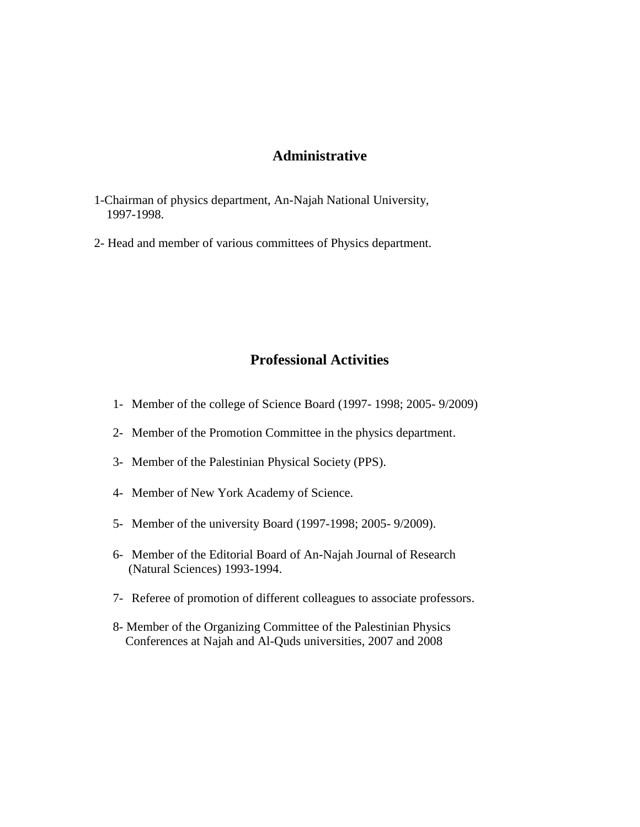### **Administrative**

- 1-Chairman of physics department, An-Najah National University, 1997-1998.
- 2- Head and member of various committees of Physics department.

## **Professional Activities**

- 1- Member of the college of Science Board (1997- 1998; 2005- 9/2009)
- 2- Member of the Promotion Committee in the physics department.
- 3- Member of the Palestinian Physical Society (PPS).
- 4- Member of New York Academy of Science.
- 5- Member of the university Board (1997-1998; 2005- 9/2009).
- 6- Member of the Editorial Board of An-Najah Journal of Research (Natural Sciences) 1993-1994.
- 7- Referee of promotion of different colleagues to associate professors.
- 8- Member of the Organizing Committee of the Palestinian Physics Conferences at Najah and Al-Quds universities, 2007 and 2008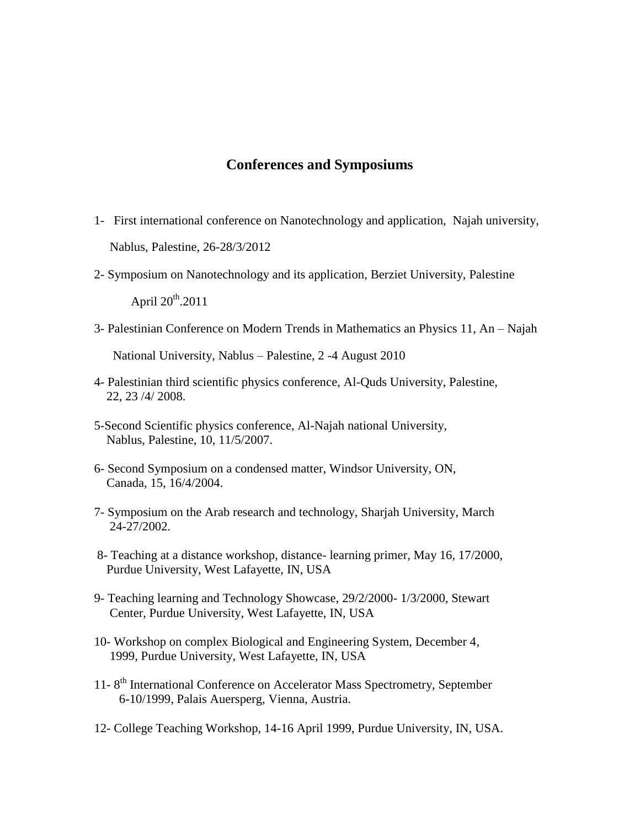### **Conferences and Symposiums**

- 1- First international conference on Nanotechnology and application, Najah university, Nablus, Palestine, 26-28/3/2012
- 2- Symposium on Nanotechnology and its application, Berziet University, Palestine

April 20th.2011

3- Palestinian Conference on Modern Trends in Mathematics an Physics 11, An – Najah

National University, Nablus – Palestine, 2 -4 August 2010

- 4- Palestinian third scientific physics conference, Al-Quds University, Palestine, 22, 23 /4/ 2008.
- 5-Second Scientific physics conference, Al-Najah national University, Nablus, Palestine, 10, 11/5/2007.
- 6- Second Symposium on a condensed matter, Windsor University, ON, Canada, 15, 16/4/2004.
- 7- Symposium on the Arab research and technology, Sharjah University, March 24-27/2002.
- 8- Teaching at a distance workshop, distance- learning primer, May 16, 17/2000, Purdue University, West Lafayette, IN, USA
- 9- Teaching learning and Technology Showcase, 29/2/2000- 1/3/2000, Stewart Center, Purdue University, West Lafayette, IN, USA
- 10- Workshop on complex Biological and Engineering System, December 4, 1999, Purdue University, West Lafayette, IN, USA
- 11-8<sup>th</sup> International Conference on Accelerator Mass Spectrometry, September 6-10/1999, Palais Auersperg, Vienna, Austria.
- 12- College Teaching Workshop, 14-16 April 1999, Purdue University, IN, USA.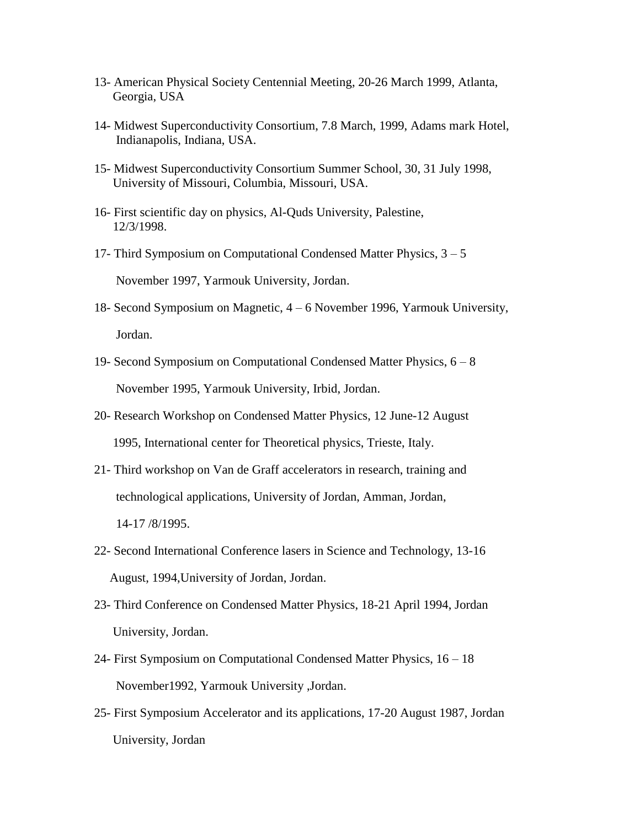- 13- American Physical Society Centennial Meeting, 20-26 March 1999, Atlanta, Georgia, USA
- 14- Midwest Superconductivity Consortium, 7.8 March, 1999, Adams mark Hotel, Indianapolis, Indiana, USA.
- 15- Midwest Superconductivity Consortium Summer School, 30, 31 July 1998, University of Missouri, Columbia, Missouri, USA.
- 16- First scientific day on physics, Al-Quds University, Palestine, 12/3/1998.
- 17- Third Symposium on Computational Condensed Matter Physics, 3 5 November 1997, Yarmouk University, Jordan.
- 18- Second Symposium on Magnetic, 4 6 November 1996, Yarmouk University, Jordan.
- 19- Second Symposium on Computational Condensed Matter Physics, 6 8 November 1995, Yarmouk University, Irbid, Jordan.
- 20- Research Workshop on Condensed Matter Physics, 12 June-12 August 1995, International center for Theoretical physics, Trieste, Italy.
- 21- Third workshop on Van de Graff accelerators in research, training and technological applications, University of Jordan, Amman, Jordan, 14-17 /8/1995.
- 22- Second International Conference lasers in Science and Technology, 13-16 August, 1994,University of Jordan, Jordan.
- 23- Third Conference on Condensed Matter Physics, 18-21 April 1994, Jordan University, Jordan.
- 24- First Symposium on Computational Condensed Matter Physics, 16 18 November1992, Yarmouk University ,Jordan.
- 25- First Symposium Accelerator and its applications, 17-20 August 1987, Jordan University, Jordan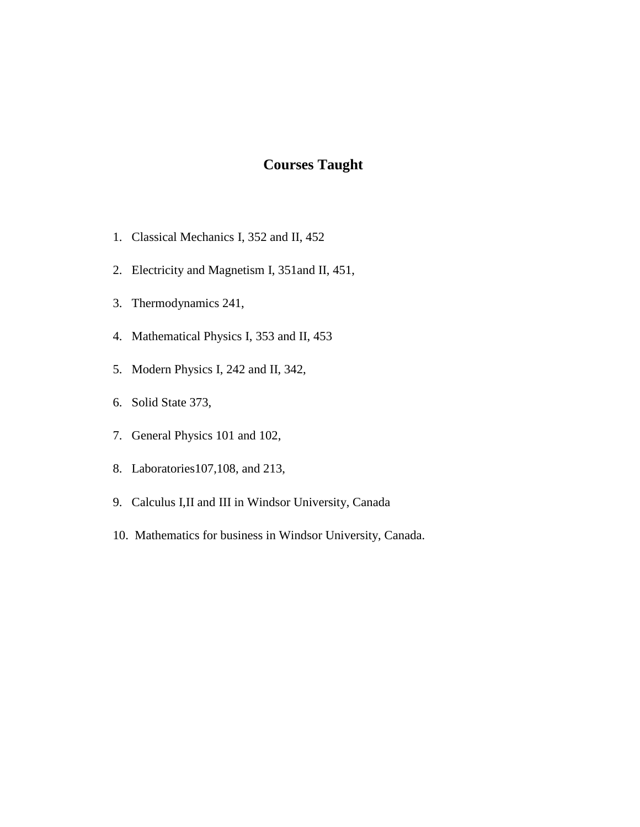# **Courses Taught**

- 1. Classical Mechanics I, 352 and II, 452
- 2. Electricity and Magnetism I, 351and II, 451,
- 3. Thermodynamics 241,
- 4. Mathematical Physics I, 353 and II, 453
- 5. Modern Physics I, 242 and II, 342,
- 6. Solid State 373,
- 7. General Physics 101 and 102,
- 8. Laboratories107,108, and 213,
- 9. Calculus I,II and III in Windsor University, Canada
- 10. Mathematics for business in Windsor University, Canada.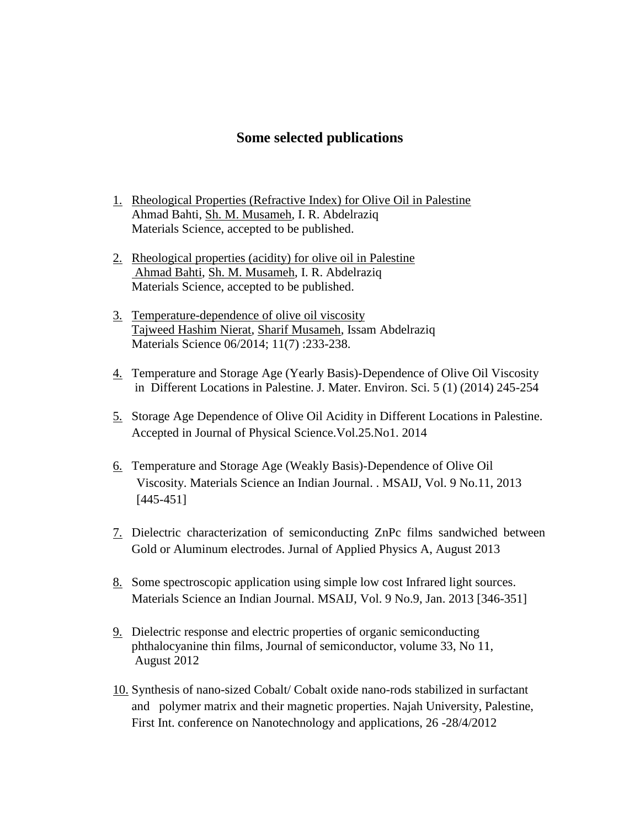### **Some selected publications**

- 1. Rheological Properties (Refractive Index) for Olive Oil in Palestine Ahmad Bahti, [Sh. M. Musameh,](https://www.researchgate.net/researcher/2039947346_Sh_M_Musameh) I. R. Abdelraziq Materials Science, accepted to be published.
- 2. [Rheological properties \(acidity\) for](https://www.researchgate.net/publication/266969760_Rheological_properties_%28acidity%29_for_olive_oil_in_Palestine?ev=prf_pub) olive oil in Palestine [Ahmad Bahti,](https://www.researchgate.net/researcher/2039942745_A_M_Bahti) [Sh. M. Musameh,](https://www.researchgate.net/researcher/2039947346_Sh_M_Musameh) I. R. Abdelraziq Materials Science, accepted to be published.
- 3. [Temperature-dependence of olive oil viscosity](https://www.researchgate.net/publication/263012034_Temperature-dependence_of_olive_oil_viscosity?ev=prf_pub)  [Tajweed Hashim Nierat,](https://www.researchgate.net/researcher/2055037118_Tajweed_Hashim_Nierat) [Sharif Musameh,](https://www.researchgate.net/researcher/2035462282_Sharif_Musameh) Issam Abdelraziq Materials Science 06/2014; 11(7) :233-238.
- 4. Temperature and Storage Age (Yearly Basis)-Dependence of Olive Oil Viscosity in Different Locations in Palestine. J. Mater. Environ. Sci. 5 (1) (2014) 245-254
- 5. Storage Age Dependence of Olive Oil Acidity in Different Locations in Palestine. Accepted in Journal of Physical Science.Vol.25.No1. 2014
- 6. Temperature and Storage Age (Weakly Basis)-Dependence of Olive Oil Viscosity. Materials Science an Indian Journal. . MSAIJ, Vol. 9 No.11, 2013 [445-451]
- 7. Dielectric characterization of semiconducting ZnPc films sandwiched between Gold or Aluminum electrodes. Jurnal of Applied Physics A, August 2013
- 8. Some spectroscopic application using simple low cost Infrared light sources. Materials Science an Indian Journal. MSAIJ, Vol. 9 No.9, Jan. 2013 [346-351]
- 9. Dielectric response and electric properties of organic semiconducting phthalocyanine thin films, Journal of semiconductor, volume 33, No 11, August 2012
- 10. Synthesis of nano-sized Cobalt/ Cobalt oxide nano-rods stabilized in surfactant and polymer matrix and their magnetic properties. Najah University, Palestine, First Int. conference on Nanotechnology and applications, 26 -28/4/2012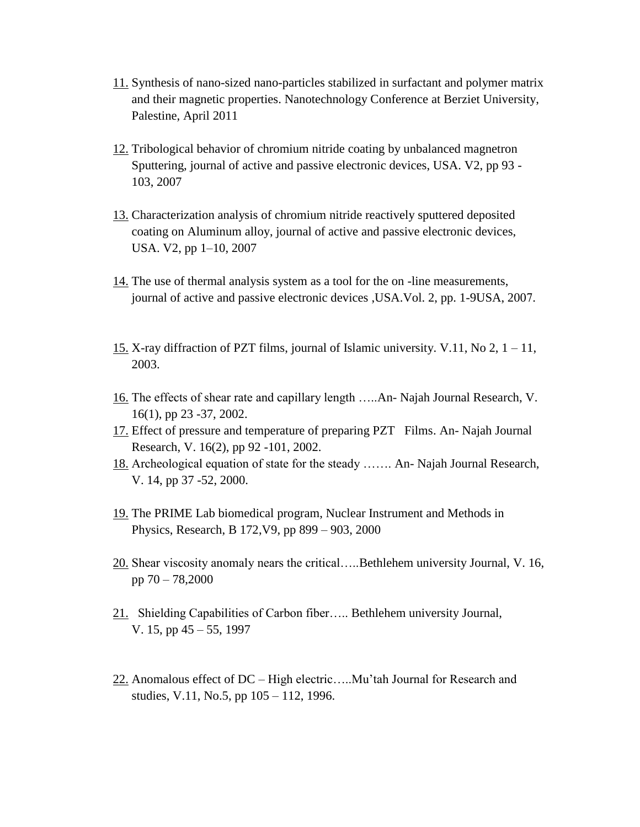- 11. Synthesis of nano-sized nano-particles stabilized in surfactant and polymer matrix and their magnetic properties. Nanotechnology Conference at Berziet University, Palestine, April 2011
- 12. Tribological behavior of chromium nitride coating by unbalanced magnetron Sputtering, journal of active and passive electronic devices, USA. V2, pp 93 - 103, 2007
- 13. Characterization analysis of chromium nitride reactively sputtered deposited coating on Aluminum alloy, journal of active and passive electronic devices, USA. V2, pp 1–10, 2007
- 14. The use of thermal analysis system as a tool for the on -line measurements, journal of active and passive electronic devices ,USA.Vol. 2, pp. 1-9USA, 2007.
- 15. X-ray diffraction of PZT films, journal of Islamic university. V.11, No 2, 1 11, 2003.
- 16. The effects of shear rate and capillary length …..An- Najah Journal Research, V. 16(1), pp 23 -37, 2002.
- 17. Effect of pressure and temperature of preparing PZT Films. An- Najah Journal Research, V. 16(2), pp 92 -101, 2002.
- 18. Archeological equation of state for the steady ……. An- Najah Journal Research, V. 14, pp 37 -52, 2000.
- 19. The PRIME Lab biomedical program, Nuclear Instrument and Methods in Physics, Research, B 172,V9, pp 899 – 903, 2000
- 20. Shear viscosity anomaly nears the critical…..Bethlehem university Journal, V. 16, pp 70 – 78,2000
- 21. Shielding Capabilities of Carbon fiber….. Bethlehem university Journal, V. 15, pp 45 – 55, 1997
- 22. Anomalous effect of DC High electric…..Mu'tah Journal for Research and studies, V.11, No.5, pp 105 – 112, 1996.